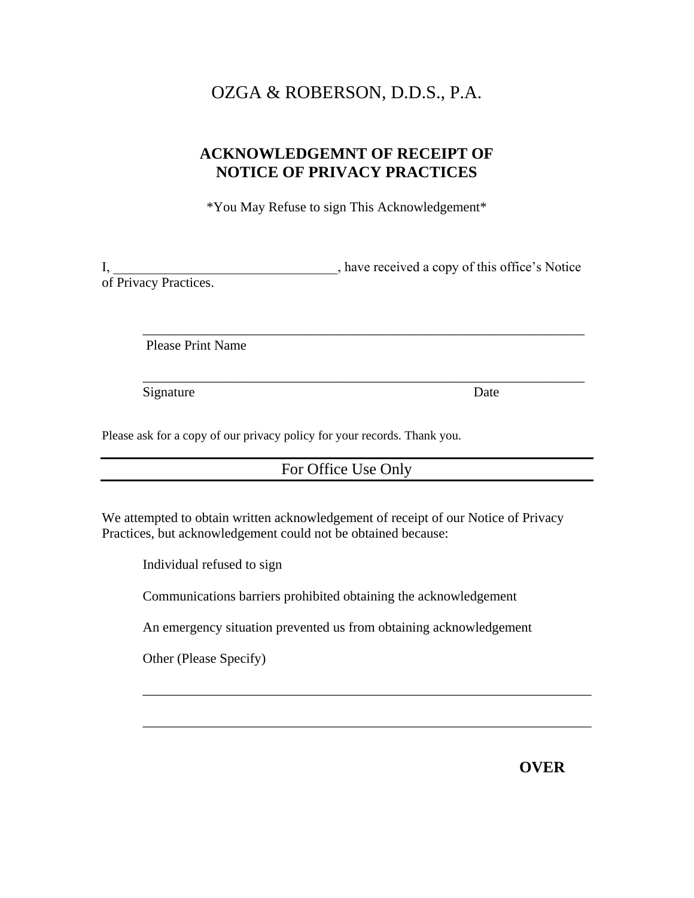# OZGA & ROBERSON, D.D.S., P.A.

# **ACKNOWLEDGEMNT OF RECEIPT OF NOTICE OF PRIVACY PRACTICES**

\*You May Refuse to sign This Acknowledgement\*

I, \_\_\_\_\_\_\_\_\_\_\_\_\_\_\_\_\_\_\_\_\_\_\_\_\_\_\_\_, have received a copy of this office's Notice of Privacy Practices.

\_\_\_\_\_\_\_\_\_\_\_\_\_\_\_\_\_\_\_\_\_\_\_\_\_\_\_\_\_\_\_\_\_\_\_\_\_\_\_\_\_\_\_\_\_\_\_\_\_\_\_\_\_\_\_\_\_\_\_\_\_\_\_\_\_

\_\_\_\_\_\_\_\_\_\_\_\_\_\_\_\_\_\_\_\_\_\_\_\_\_\_\_\_\_\_\_\_\_\_\_\_\_\_\_\_\_\_\_\_\_\_\_\_\_\_\_\_\_\_\_\_\_\_\_\_\_\_\_\_\_

Please Print Name

Signature Date

Please ask for a copy of our privacy policy for your records. Thank you.

## For Office Use Only

We attempted to obtain written acknowledgement of receipt of our Notice of Privacy Practices, but acknowledgement could not be obtained because:

Individual refused to sign

Communications barriers prohibited obtaining the acknowledgement

An emergency situation prevented us from obtaining acknowledgement

\_\_\_\_\_\_\_\_\_\_\_\_\_\_\_\_\_\_\_\_\_\_\_\_\_\_\_\_\_\_\_\_\_\_\_\_\_\_\_\_\_\_\_\_\_\_\_\_\_\_\_\_\_\_\_\_\_\_\_\_\_\_\_\_\_\_

\_\_\_\_\_\_\_\_\_\_\_\_\_\_\_\_\_\_\_\_\_\_\_\_\_\_\_\_\_\_\_\_\_\_\_\_\_\_\_\_\_\_\_\_\_\_\_\_\_\_\_\_\_\_\_\_\_\_\_\_\_\_\_\_\_\_

Other (Please Specify)

**OVER**